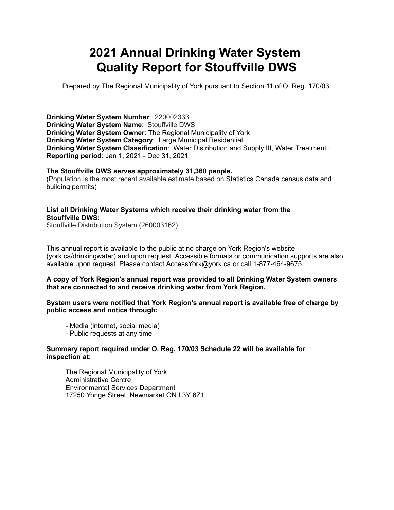# **2021 Annual Drinking Water System Quality Report for Stouffville DWS**

Prepared by The Regional Municipality of York pursuant to Section 11 of O. Reg. 170/03.

**Drinking Water System Number**: 220002333 **Drinking Water System Name**: Stouffville DWS **Drinking Water System Owner**: The Regional Municipality of York **Drinking Water System Category**: Large Municipal Residential **Drinking Water System Classification**: Water Distribution and Supply III, Water Treatment I **Reporting period**: Jan 1, 2021 - Dec 31, 2021

#### **The Stouffville DWS serves approximately 31,360 people.**

(Population is the most recent available estimate based on Statistics Canada census data and building permits)

### **List all Drinking Water Systems which receive their drinking water from the Stouffville DWS:**

Stouffville Distribution System (260003162)

This annual report is available to the public at no charge on York Region's website (york.ca/drinkingwater) and upon request. Accessible formats or communication supports are also available upon request. Please contact [AccessYork@york.ca](mailto:AccessYork@york.ca) or call 1-877-464-9675.

#### **A copy of York Region's annual report was provided to all Drinking Water System owners that are connected to and receive drinking water from York Region.**

#### **System users were notified that York Region's annual report is available free of charge by public access and notice through:**

- Media (internet, social media)
- Public requests at any time

#### **Summary report required under O. Reg. 170/03 Schedule 22 will be available for inspection at:**

 The Regional Municipality of York Administrative Centre Environmental Services Department 17250 Yonge Street, Newmarket ON L3Y 6Z1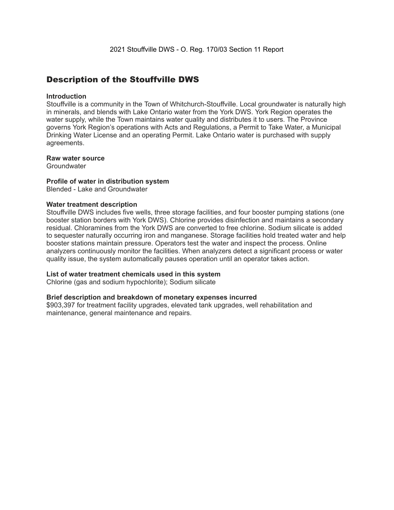### Description of the Stouffville DWS

#### **Introduction**

Stouffville is a community in the Town of Whitchurch-Stouffville. Local groundwater is naturally high in minerals, and blends with Lake Ontario water from the York DWS. York Region operates the water supply, while the Town maintains water quality and distributes it to users. The Province governs York Region's operations with Acts and Regulations, a Permit to Take Water, a Municipal Drinking Water License and an operating Permit. Lake Ontario water is purchased with supply agreements.

#### **Raw water source**

**Groundwater** 

#### **Profile of water in distribution system**

Blended - Lake and Groundwater

#### **Water treatment description**

Stouffville DWS includes five wells, three storage facilities, and four booster pumping stations (one booster station borders with York DWS). Chlorine provides disinfection and maintains a secondary residual. Chloramines from the York DWS are converted to free chlorine. Sodium silicate is added to sequester naturally occurring iron and manganese. Storage facilities hold treated water and help booster stations maintain pressure. Operators test the water and inspect the process. Online analyzers continuously monitor the facilities. When analyzers detect a significant process or water quality issue, the system automatically pauses operation until an operator takes action.

#### **List of water treatment chemicals used in this system**

Chlorine (gas and sodium hypochlorite); Sodium silicate

#### **Brief description and breakdown of monetary expenses incurred**

\$903,397 for treatment facility upgrades, elevated tank upgrades, well rehabilitation and maintenance, general maintenance and repairs.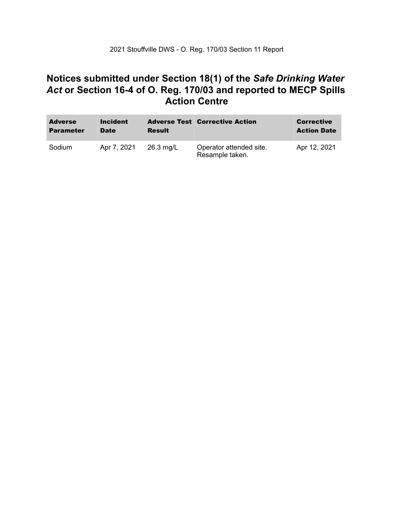### **Notices submitted under Section 18(1) of the** *Safe Drinking Water*  *Act* **or Section 16-4 of O. Reg. 170/03 and reported to MECP Spills Action Centre**

| <b>Adverse</b><br><b>Parameter</b> | <b>Incident</b><br><b>Date</b> | <b>Result</b> | <b>Adverse Test Corrective Action</b>      | <b>Corrective</b><br><b>Action Date</b> |
|------------------------------------|--------------------------------|---------------|--------------------------------------------|-----------------------------------------|
| Sodium                             | Apr 7, 2021                    | $26.3$ mg/L   | Operator attended site.<br>Resample taken. | Apr 12, 2021                            |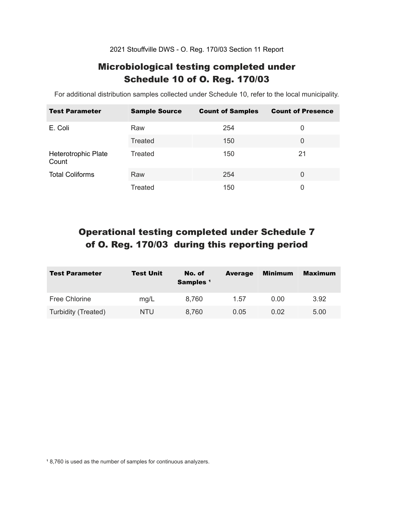2021 Stouffville DWS - O. Reg. 170/03 Section 11 Report

### Microbiological testing completed under Schedule 10 of O. Reg. 170/03

For additional distribution samples collected under Schedule 10, refer to the local municipality.

| <b>Test Parameter</b>        | <b>Sample Source</b> | <b>Count of Samples</b> | <b>Count of Presence</b> |
|------------------------------|----------------------|-------------------------|--------------------------|
| E. Coli                      | Raw                  | 254                     | 0                        |
|                              | Treated              | 150                     | 0                        |
| Heterotrophic Plate<br>Count | Treated              | 150                     | 21                       |
| <b>Total Coliforms</b>       | Raw                  | 254                     | $\Omega$                 |
|                              | Treated              | 150                     | 0                        |

## Operational testing completed under Schedule 7 of O. Reg. 170/03 during this reporting period

| <b>Test Parameter</b> | <b>Test Unit</b> | No. of<br>Samples <sup>1</sup> | <b>Average</b> | <b>Minimum</b> | <b>Maximum</b> |
|-----------------------|------------------|--------------------------------|----------------|----------------|----------------|
| Free Chlorine         | mg/L             | 8,760                          | 1.57           | 0.00           | 3.92           |
| Turbidity (Treated)   | NTU.             | 8,760                          | 0.05           | 0.02           | 5.00           |

<sup>1</sup> 8,760 is used as the number of samples for continuous analyzers.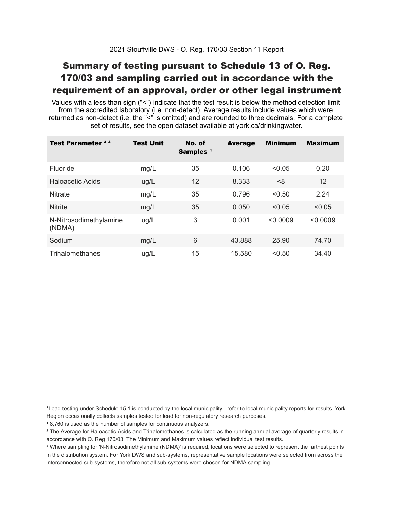## Summary of testing pursuant to Schedule 13 of O. Reg. 170/03 and sampling carried out in accordance with the requirement of an approval, order or other legal instrument

 Values with a less than sign ("<") indicate that the test result is below the method detection limit from the accredited laboratory (i.e. non-detect). Average results include values which were returned as non-detect (i.e. the "<" is omitted) and are rounded to three decimals. For a complete set of results, see the open dataset available at york.ca/drinkingwater.

| Test Parameter <sup>23</sup>     | <b>Test Unit</b> | No. of<br>Samples <sup>1</sup> | <b>Average</b> | <b>Minimum</b> | <b>Maximum</b> |
|----------------------------------|------------------|--------------------------------|----------------|----------------|----------------|
| Fluoride                         | mg/L             | 35                             | 0.106          | < 0.05         | 0.20           |
| Haloacetic Acids                 | ug/L             | 12                             | 8.333          | < 8            | 12             |
| <b>Nitrate</b>                   | mg/L             | 35                             | 0.796          | < 0.50         | 2.24           |
| <b>Nitrite</b>                   | mg/L             | 35                             | 0.050          | < 0.05         | < 0.05         |
| N-Nitrosodimethylamine<br>(NDMA) | ug/L             | 3                              | 0.001          | < 0.0009       | < 0.0009       |
| Sodium                           | mg/L             | 6                              | 43.888         | 25.90          | 74.70          |
| Trihalomethanes                  | ug/L             | 15                             | 15.580         | < 0.50         | 34.40          |

 \*Lead testing under Schedule 15.1 is conducted by the local municipality - refer to local municipality reports for results. York Region occasionally collects samples tested for lead for non-regulatory research purposes.

<sup>1</sup>8,760 is used as the number of samples for continuous analyzers.

 $\mathrm{^2}$  The Average for Haloacetic Acids and Trihalomethanes is calculated as the running annual average of quarterly results in accordance with O. Reg 170/03. The Minimum and Maximum values reflect individual test results.

<sup>3</sup> Where sampling for 'N-Nitrosodimethylamine (NDMA)' is required, locations were selected to represent the farthest points in the distribution system. For York DWS and sub-systems, representative sample locations were selected from across the interconnected sub-systems, therefore not all sub-systems were chosen for NDMA sampling.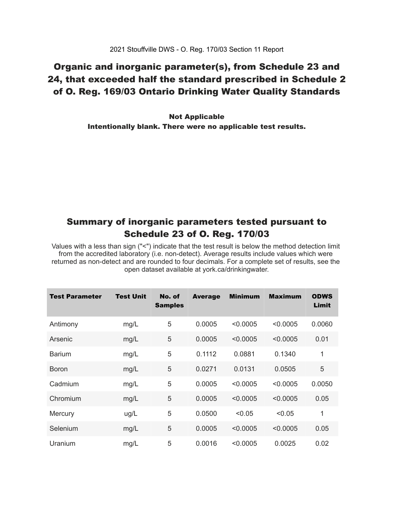### Organic and inorganic parameter(s), from Schedule 23 and 24, that exceeded half the standard prescribed in Schedule 2 of O. Reg. 169/03 Ontario Drinking Water Quality Standards

 Intentionally blank. There were no applicable test results. Not Applicable

### Summary of inorganic parameters tested pursuant to Schedule 23 of O. Reg. 170/03

 Values with a less than sign ("<") indicate that the test result is below the method detection limit from the accredited laboratory (i.e. non-detect). Average results include values which were returned as non-detect and are rounded to four decimals. For a complete set of results, see the open dataset available at york.ca/drinkingwater.

| Test Parameter | <b>Test Unit</b> | No. of<br><b>Samples</b> | <b>Average</b> | <b>Minimum</b> | <b>Maximum</b> | <b>ODWS</b><br>Limit |
|----------------|------------------|--------------------------|----------------|----------------|----------------|----------------------|
| Antimony       | mg/L             | 5                        | 0.0005         | < 0.0005       | < 0.0005       | 0.0060               |
| Arsenic        | mg/L             | 5                        | 0.0005         | < 0.0005       | < 0.0005       | 0.01                 |
| <b>Barium</b>  | mg/L             | 5                        | 0.1112         | 0.0881         | 0.1340         | 1                    |
| <b>Boron</b>   | mg/L             | 5                        | 0.0271         | 0.0131         | 0.0505         | 5                    |
| Cadmium        | mg/L             | 5                        | 0.0005         | < 0.0005       | < 0.0005       | 0.0050               |
| Chromium       | mg/L             | 5                        | 0.0005         | < 0.0005       | < 0.0005       | 0.05                 |
| Mercury        | ug/L             | 5                        | 0.0500         | < 0.05         | < 0.05         | 1                    |
| Selenium       | mg/L             | 5                        | 0.0005         | < 0.0005       | < 0.0005       | 0.05                 |
| Uranium        | mg/L             | 5                        | 0.0016         | < 0.0005       | 0.0025         | 0.02                 |